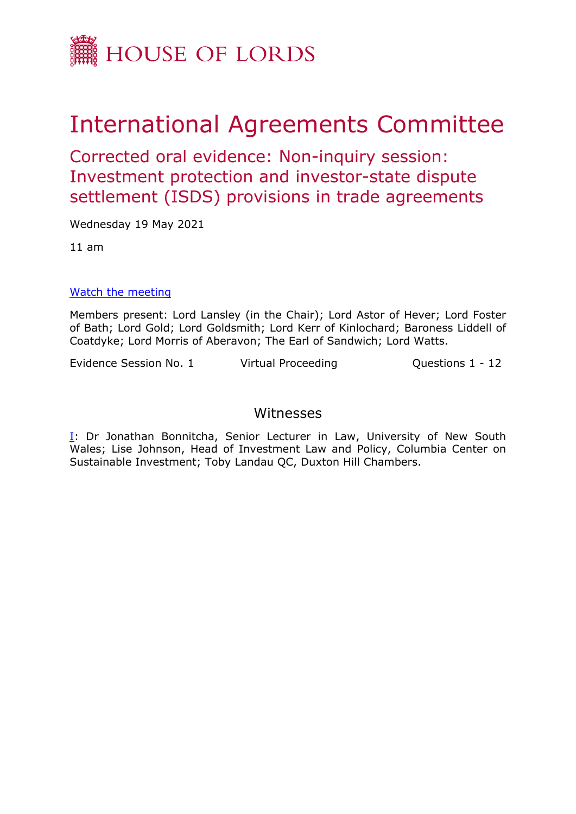

## International Agreements Committee

Corrected oral evidence: Non-inquiry session: Investment protection and investor-state dispute settlement (ISDS) provisions in trade agreements

Wednesday 19 May 2021

11 am

## [Watch](https://parliamentlive.tv/event/index/293692d5-fc91-4d6d-b3f6-bb496fe93f54?in=11:03:46) [the](https://parliamentlive.tv/event/index/293692d5-fc91-4d6d-b3f6-bb496fe93f54?in=11:03:46) [meeting](https://parliamentlive.tv/event/index/293692d5-fc91-4d6d-b3f6-bb496fe93f54?in=11:03:46)

Members present: Lord Lansley (in the Chair); Lord Astor of Hever; Lord Foster of Bath; Lord Gold; Lord Goldsmith; Lord Kerr of Kinlochard; Baroness Liddell of Coatdyke; Lord Morris of Aberavon; The Earl of Sandwich; Lord Watts.

Evidence Session No. 1 Virtual Proceeding Cuestions 1 - 12

## Witnesses

[I:](#page-1-0) Dr Jonathan Bonnitcha, Senior Lecturer in Law, University of New South Wales; Lise Johnson, Head of Investment Law and Policy, Columbia Center on Sustainable Investment; Toby Landau QC, Duxton Hill Chambers.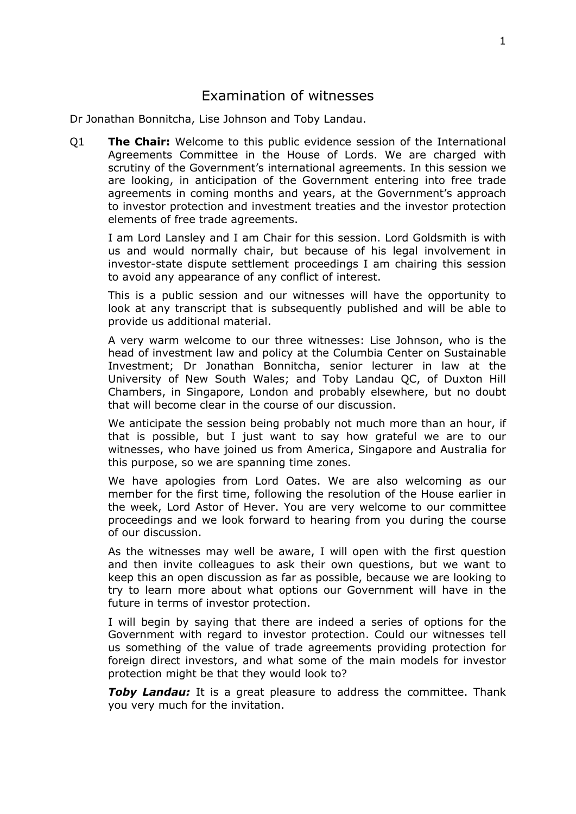## <span id="page-1-0"></span>Examination of witnesses

Dr Jonathan Bonnitcha, Lise Johnson and Toby Landau.

Q1 **The Chair:** Welcome to this public evidence session of the International Agreements Committee in the House of Lords. We are charged with scrutiny of the Government's international agreements. In this session we are looking, in anticipation of the Government entering into free trade agreements in coming months and years, at the Government's approach to investor protection and investment treaties and the investor protection elements of free trade agreements.

I am Lord Lansley and I am Chair for this session. Lord Goldsmith is with us and would normally chair, but because of his legal involvement in investor-state dispute settlement proceedings I am chairing this session to avoid any appearance of any conflict of interest.

This is a public session and our witnesses will have the opportunity to look at any transcript that is subsequently published and will be able to provide us additional material.

A very warm welcome to our three witnesses: Lise Johnson, who is the head of investment law and policy at the Columbia Center on Sustainable Investment; Dr Jonathan Bonnitcha, senior lecturer in law at the University of New South Wales; and Toby Landau QC, of Duxton Hill Chambers, in Singapore, London and probably elsewhere, but no doubt that will become clear in the course of our discussion.

We anticipate the session being probably not much more than an hour, if that is possible, but I just want to say how grateful we are to our witnesses, who have joined us from America, Singapore and Australia for this purpose, so we are spanning time zones.

We have apologies from Lord Oates. We are also welcoming as our member for the first time, following the resolution of the House earlier in the week, Lord Astor of Hever. You are very welcome to our committee proceedings and we look forward to hearing from you during the course of our discussion.

As the witnesses may well be aware, I will open with the first question and then invite colleagues to ask their own questions, but we want to keep this an open discussion as far as possible, because we are looking to try to learn more about what options our Government will have in the future in terms of investor protection.

I will begin by saying that there are indeed a series of options for the Government with regard to investor protection. Could our witnesses tell us something of the value of trade agreements providing protection for foreign direct investors, and what some of the main models for investor protection might be that they would look to?

*Toby Landau:* It is a great pleasure to address the committee. Thank you very much for the invitation.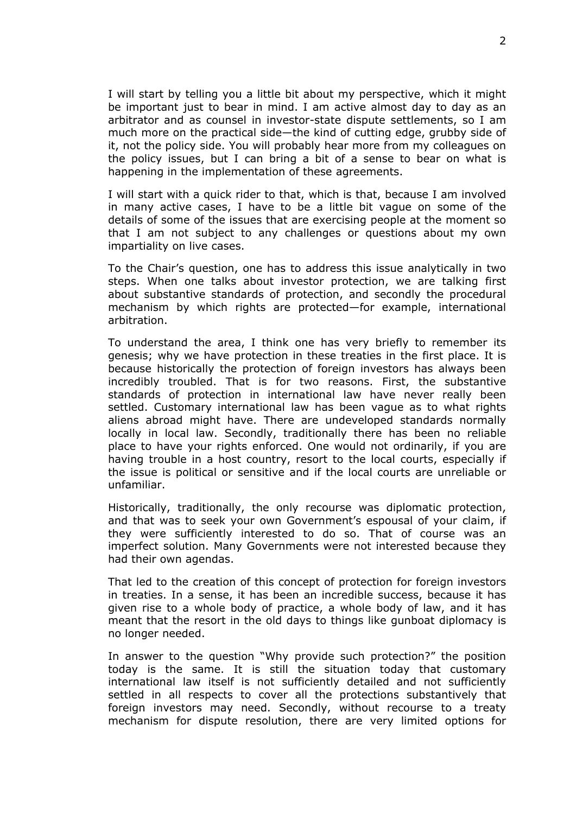I will start by telling you a little bit about my perspective, which it might be important just to bear in mind. I am active almost day to day as an arbitrator and as counsel in investor-state dispute settlements, so I am much more on the practical side—the kind of cutting edge, grubby side of it, not the policy side. You will probably hear more from my colleagues on the policy issues, but I can bring a bit of a sense to bear on what is happening in the implementation of these agreements.

I will start with a quick rider to that, which is that, because I am involved in many active cases, I have to be a little bit vague on some of the details of some of the issues that are exercising people at the moment so that I am not subject to any challenges or questions about my own impartiality on live cases.

To the Chair's question, one has to address this issue analytically in two steps. When one talks about investor protection, we are talking first about substantive standards of protection, and secondly the procedural mechanism by which rights are protected—for example, international arbitration.

To understand the area, I think one has very briefly to remember its genesis; why we have protection in these treaties in the first place. It is because historically the protection of foreign investors has always been incredibly troubled. That is for two reasons. First, the substantive standards of protection in international law have never really been settled. Customary international law has been vague as to what rights aliens abroad might have. There are undeveloped standards normally locally in local law. Secondly, traditionally there has been no reliable place to have your rights enforced. One would not ordinarily, if you are having trouble in a host country, resort to the local courts, especially if the issue is political or sensitive and if the local courts are unreliable or unfamiliar.

Historically, traditionally, the only recourse was diplomatic protection, and that was to seek your own Government's espousal of your claim, if they were sufficiently interested to do so. That of course was an imperfect solution. Many Governments were not interested because they had their own agendas.

That led to the creation of this concept of protection for foreign investors in treaties. In a sense, it has been an incredible success, because it has given rise to a whole body of practice, a whole body of law, and it has meant that the resort in the old days to things like gunboat diplomacy is no longer needed.

In answer to the question "Why provide such protection?" the position today is the same. It is still the situation today that customary international law itself is not sufficiently detailed and not sufficiently settled in all respects to cover all the protections substantively that foreign investors may need. Secondly, without recourse to a treaty mechanism for dispute resolution, there are very limited options for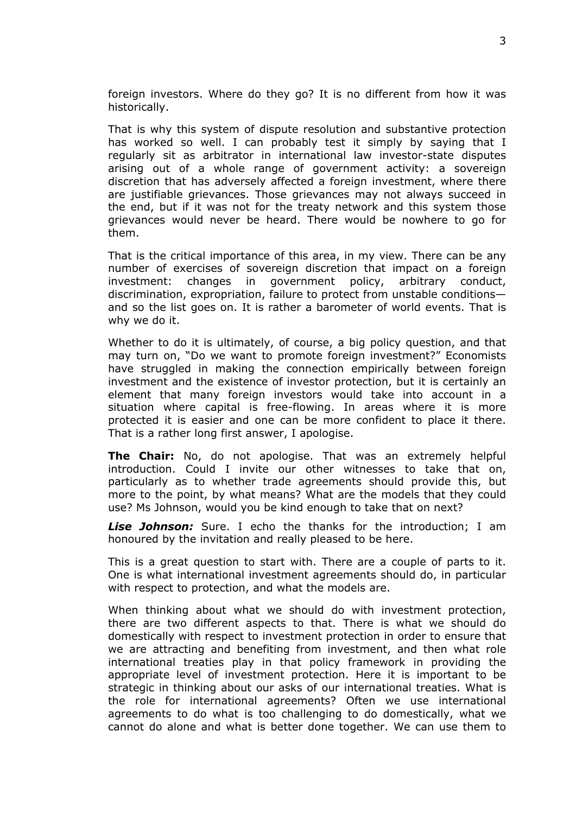foreign investors. Where do they go? It is no different from how it was historically.

That is why this system of dispute resolution and substantive protection has worked so well. I can probably test it simply by saying that I regularly sit as arbitrator in international law investor-state disputes arising out of a whole range of government activity: a sovereign discretion that has adversely affected a foreign investment, where there are justifiable grievances. Those grievances may not always succeed in the end, but if it was not for the treaty network and this system those grievances would never be heard. There would be nowhere to go for them.

That is the critical importance of this area, in my view. There can be any number of exercises of sovereign discretion that impact on a foreign investment: changes in government policy, arbitrary conduct, discrimination, expropriation, failure to protect from unstable conditions and so the list goes on. It is rather a barometer of world events. That is why we do it.

Whether to do it is ultimately, of course, a big policy question, and that may turn on, "Do we want to promote foreign investment?" Economists have struggled in making the connection empirically between foreign investment and the existence of investor protection, but it is certainly an element that many foreign investors would take into account in a situation where capital is free-flowing. In areas where it is more protected it is easier and one can be more confident to place it there. That is a rather long first answer, I apologise.

**The Chair:** No, do not apologise. That was an extremely helpful introduction. Could I invite our other witnesses to take that on, particularly as to whether trade agreements should provide this, but more to the point, by what means? What are the models that they could use? Ms Johnson, would you be kind enough to take that on next?

*Lise Johnson:* Sure. I echo the thanks for the introduction; I am honoured by the invitation and really pleased to be here.

This is a great question to start with. There are a couple of parts to it. One is what international investment agreements should do, in particular with respect to protection, and what the models are.

When thinking about what we should do with investment protection, there are two different aspects to that. There is what we should do domestically with respect to investment protection in order to ensure that we are attracting and benefiting from investment, and then what role international treaties play in that policy framework in providing the appropriate level of investment protection. Here it is important to be strategic in thinking about our asks of our international treaties. What is the role for international agreements? Often we use international agreements to do what is too challenging to do domestically, what we cannot do alone and what is better done together. We can use them to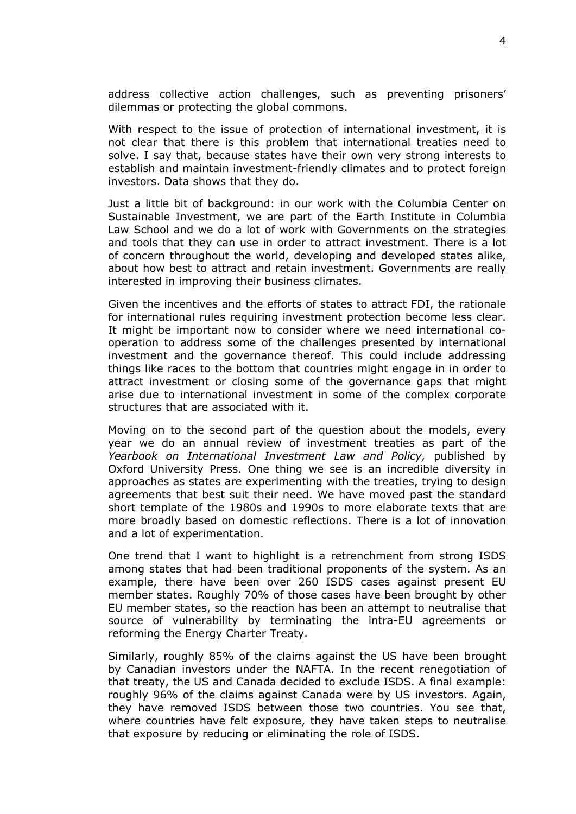address collective action challenges, such as preventing prisoners' dilemmas or protecting the global commons.

With respect to the issue of protection of international investment, it is not clear that there is this problem that international treaties need to solve. I say that, because states have their own very strong interests to establish and maintain investment-friendly climates and to protect foreign investors. Data shows that they do.

Just a little bit of background: in our work with the Columbia Center on Sustainable Investment, we are part of the Earth Institute in Columbia Law School and we do a lot of work with Governments on the strategies and tools that they can use in order to attract investment. There is a lot of concern throughout the world, developing and developed states alike, about how best to attract and retain investment. Governments are really interested in improving their business climates.

Given the incentives and the efforts of states to attract FDI, the rationale for international rules requiring investment protection become less clear. It might be important now to consider where we need international cooperation to address some of the challenges presented by international investment and the governance thereof. This could include addressing things like races to the bottom that countries might engage in in order to attract investment or closing some of the governance gaps that might arise due to international investment in some of the complex corporate structures that are associated with it.

Moving on to the second part of the question about the models, every year we do an annual review of investment treaties as part of the *Yearbook on International Investment Law and Policy,* published by Oxford University Press. One thing we see is an incredible diversity in approaches as states are experimenting with the treaties, trying to design agreements that best suit their need. We have moved past the standard short template of the 1980s and 1990s to more elaborate texts that are more broadly based on domestic reflections. There is a lot of innovation and a lot of experimentation.

One trend that I want to highlight is a retrenchment from strong ISDS among states that had been traditional proponents of the system. As an example, there have been over 260 ISDS cases against present EU member states. Roughly 70% of those cases have been brought by other EU member states, so the reaction has been an attempt to neutralise that source of vulnerability by terminating the intra-EU agreements or reforming the Energy Charter Treaty.

Similarly, roughly 85% of the claims against the US have been brought by Canadian investors under the NAFTA. In the recent renegotiation of that treaty, the US and Canada decided to exclude ISDS. A final example: roughly 96% of the claims against Canada were by US investors. Again, they have removed ISDS between those two countries. You see that, where countries have felt exposure, they have taken steps to neutralise that exposure by reducing or eliminating the role of ISDS.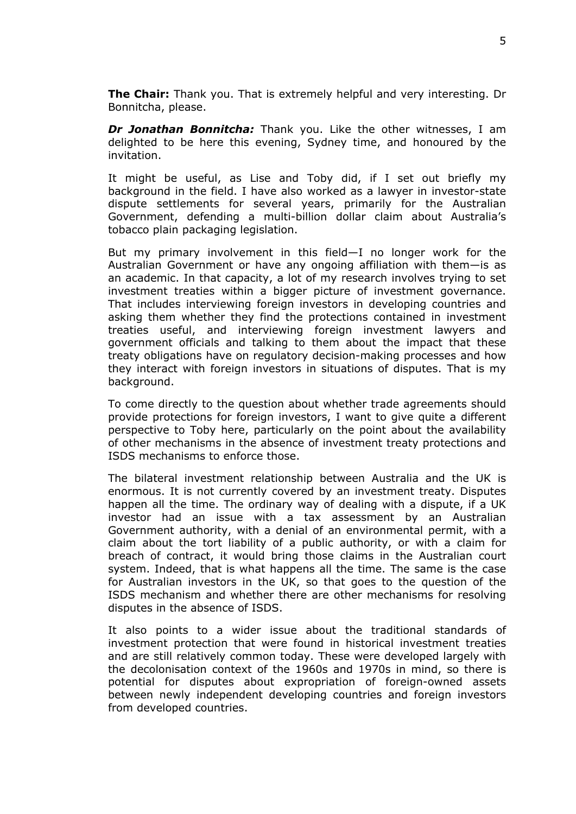**The Chair:** Thank you. That is extremely helpful and very interesting. Dr Bonnitcha, please.

*Dr Jonathan Bonnitcha:* Thank you. Like the other witnesses, I am delighted to be here this evening, Sydney time, and honoured by the invitation.

It might be useful, as Lise and Toby did, if I set out briefly my background in the field. I have also worked as a lawyer in investor-state dispute settlements for several years, primarily for the Australian Government, defending a multi-billion dollar claim about Australia's tobacco plain packaging legislation.

But my primary involvement in this field—I no longer work for the Australian Government or have any ongoing affiliation with them—is as an academic. In that capacity, a lot of my research involves trying to set investment treaties within a bigger picture of investment governance. That includes interviewing foreign investors in developing countries and asking them whether they find the protections contained in investment treaties useful, and interviewing foreign investment lawyers and government officials and talking to them about the impact that these treaty obligations have on regulatory decision-making processes and how they interact with foreign investors in situations of disputes. That is my background.

To come directly to the question about whether trade agreements should provide protections for foreign investors, I want to give quite a different perspective to Toby here, particularly on the point about the availability of other mechanisms in the absence of investment treaty protections and ISDS mechanisms to enforce those.

The bilateral investment relationship between Australia and the UK is enormous. It is not currently covered by an investment treaty. Disputes happen all the time. The ordinary way of dealing with a dispute, if a UK investor had an issue with a tax assessment by an Australian Government authority, with a denial of an environmental permit, with a claim about the tort liability of a public authority, or with a claim for breach of contract, it would bring those claims in the Australian court system. Indeed, that is what happens all the time. The same is the case for Australian investors in the UK, so that goes to the question of the ISDS mechanism and whether there are other mechanisms for resolving disputes in the absence of ISDS.

It also points to a wider issue about the traditional standards of investment protection that were found in historical investment treaties and are still relatively common today. These were developed largely with the decolonisation context of the 1960s and 1970s in mind, so there is potential for disputes about expropriation of foreign-owned assets between newly independent developing countries and foreign investors from developed countries.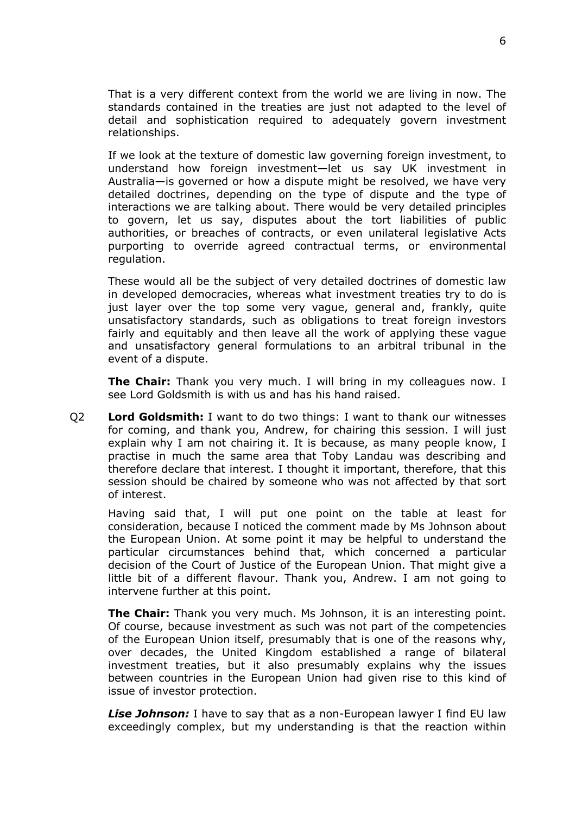That is a very different context from the world we are living in now. The standards contained in the treaties are just not adapted to the level of detail and sophistication required to adequately govern investment relationships.

If we look at the texture of domestic law governing foreign investment, to understand how foreign investment—let us say UK investment in Australia—is governed or how a dispute might be resolved, we have very detailed doctrines, depending on the type of dispute and the type of interactions we are talking about. There would be very detailed principles to govern, let us say, disputes about the tort liabilities of public authorities, or breaches of contracts, or even unilateral legislative Acts purporting to override agreed contractual terms, or environmental regulation.

These would all be the subject of very detailed doctrines of domestic law in developed democracies, whereas what investment treaties try to do is just layer over the top some very vague, general and, frankly, quite unsatisfactory standards, such as obligations to treat foreign investors fairly and equitably and then leave all the work of applying these vague and unsatisfactory general formulations to an arbitral tribunal in the event of a dispute.

**The Chair:** Thank you very much. I will bring in my colleagues now. I see Lord Goldsmith is with us and has his hand raised.

Q2 **Lord Goldsmith:** I want to do two things: I want to thank our witnesses for coming, and thank you, Andrew, for chairing this session. I will just explain why I am not chairing it. It is because, as many people know, I practise in much the same area that Toby Landau was describing and therefore declare that interest. I thought it important, therefore, that this session should be chaired by someone who was not affected by that sort of interest.

Having said that, I will put one point on the table at least for consideration, because I noticed the comment made by Ms Johnson about the European Union. At some point it may be helpful to understand the particular circumstances behind that, which concerned a particular decision of the Court of Justice of the European Union. That might give a little bit of a different flavour. Thank you, Andrew. I am not going to intervene further at this point.

**The Chair:** Thank you very much. Ms Johnson, it is an interesting point. Of course, because investment as such was not part of the competencies of the European Union itself, presumably that is one of the reasons why, over decades, the United Kingdom established a range of bilateral investment treaties, but it also presumably explains why the issues between countries in the European Union had given rise to this kind of issue of investor protection.

*Lise Johnson:* I have to say that as a non-European lawyer I find EU law exceedingly complex, but my understanding is that the reaction within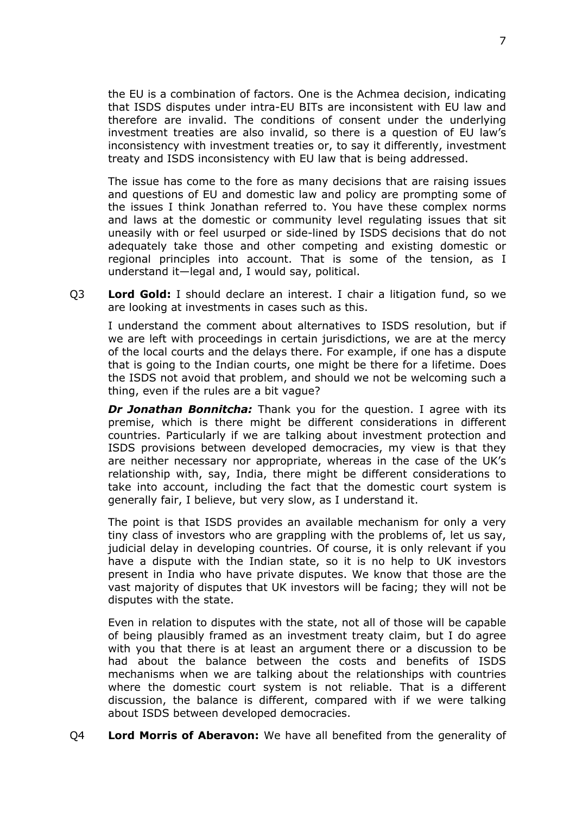the EU is a combination of factors. One is the Achmea decision, indicating that ISDS disputes under intra-EU BITs are inconsistent with EU law and therefore are invalid. The conditions of consent under the underlying investment treaties are also invalid, so there is a question of EU law's inconsistency with investment treaties or, to say it differently, investment treaty and ISDS inconsistency with EU law that is being addressed.

The issue has come to the fore as many decisions that are raising issues and questions of EU and domestic law and policy are prompting some of the issues I think Jonathan referred to. You have these complex norms and laws at the domestic or community level regulating issues that sit uneasily with or feel usurped or side-lined by ISDS decisions that do not adequately take those and other competing and existing domestic or regional principles into account. That is some of the tension, as I understand it—legal and, I would say, political.

Q3 **Lord Gold:** I should declare an interest. I chair a litigation fund, so we are looking at investments in cases such as this.

I understand the comment about alternatives to ISDS resolution, but if we are left with proceedings in certain jurisdictions, we are at the mercy of the local courts and the delays there. For example, if one has a dispute that is going to the Indian courts, one might be there for a lifetime. Does the ISDS not avoid that problem, and should we not be welcoming such a thing, even if the rules are a bit vague?

*Dr Jonathan Bonnitcha:* Thank you for the question. I agree with its premise, which is there might be different considerations in different countries. Particularly if we are talking about investment protection and ISDS provisions between developed democracies, my view is that they are neither necessary nor appropriate, whereas in the case of the UK's relationship with, say, India, there might be different considerations to take into account, including the fact that the domestic court system is generally fair, I believe, but very slow, as I understand it.

The point is that ISDS provides an available mechanism for only a very tiny class of investors who are grappling with the problems of, let us say, judicial delay in developing countries. Of course, it is only relevant if you have a dispute with the Indian state, so it is no help to UK investors present in India who have private disputes. We know that those are the vast majority of disputes that UK investors will be facing; they will not be disputes with the state.

Even in relation to disputes with the state, not all of those will be capable of being plausibly framed as an investment treaty claim, but I do agree with you that there is at least an argument there or a discussion to be had about the balance between the costs and benefits of ISDS mechanisms when we are talking about the relationships with countries where the domestic court system is not reliable. That is a different discussion, the balance is different, compared with if we were talking about ISDS between developed democracies.

Q4 **Lord Morris of Aberavon:** We have all benefited from the generality of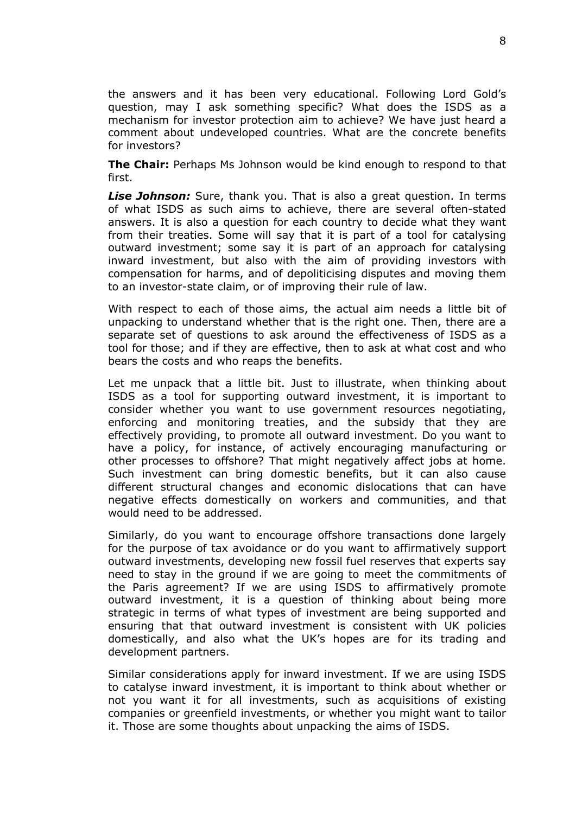the answers and it has been very educational. Following Lord Gold's question, may I ask something specific? What does the ISDS as a mechanism for investor protection aim to achieve? We have just heard a comment about undeveloped countries. What are the concrete benefits for investors?

**The Chair:** Perhaps Ms Johnson would be kind enough to respond to that first.

*Lise Johnson:* Sure, thank you. That is also a great question. In terms of what ISDS as such aims to achieve, there are several often-stated answers. It is also a question for each country to decide what they want from their treaties. Some will say that it is part of a tool for catalysing outward investment; some say it is part of an approach for catalysing inward investment, but also with the aim of providing investors with compensation for harms, and of depoliticising disputes and moving them to an investor-state claim, or of improving their rule of law.

With respect to each of those aims, the actual aim needs a little bit of unpacking to understand whether that is the right one. Then, there are a separate set of questions to ask around the effectiveness of ISDS as a tool for those; and if they are effective, then to ask at what cost and who bears the costs and who reaps the benefits.

Let me unpack that a little bit. Just to illustrate, when thinking about ISDS as a tool for supporting outward investment, it is important to consider whether you want to use government resources negotiating, enforcing and monitoring treaties, and the subsidy that they are effectively providing, to promote all outward investment. Do you want to have a policy, for instance, of actively encouraging manufacturing or other processes to offshore? That might negatively affect jobs at home. Such investment can bring domestic benefits, but it can also cause different structural changes and economic dislocations that can have negative effects domestically on workers and communities, and that would need to be addressed.

Similarly, do you want to encourage offshore transactions done largely for the purpose of tax avoidance or do you want to affirmatively support outward investments, developing new fossil fuel reserves that experts say need to stay in the ground if we are going to meet the commitments of the Paris agreement? If we are using ISDS to affirmatively promote outward investment, it is a question of thinking about being more strategic in terms of what types of investment are being supported and ensuring that that outward investment is consistent with UK policies domestically, and also what the UK's hopes are for its trading and development partners.

Similar considerations apply for inward investment. If we are using ISDS to catalyse inward investment, it is important to think about whether or not you want it for all investments, such as acquisitions of existing companies or greenfield investments, or whether you might want to tailor it. Those are some thoughts about unpacking the aims of ISDS.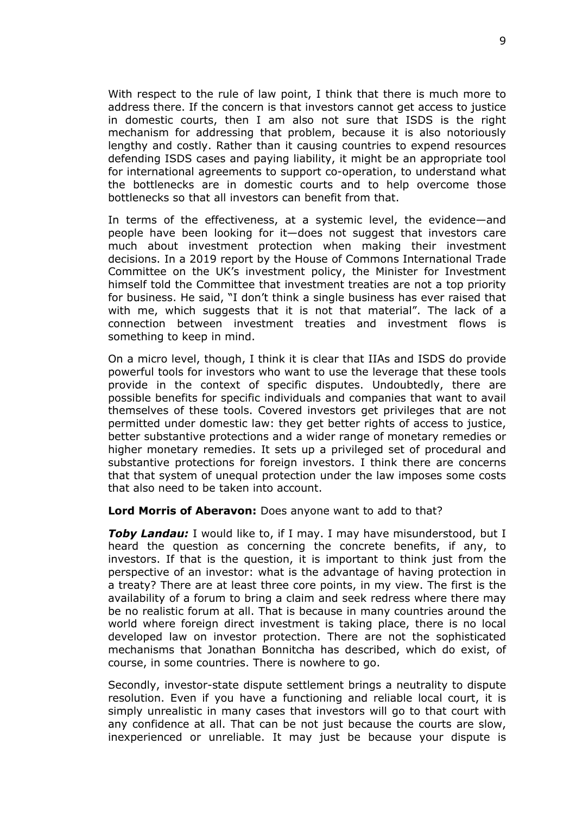With respect to the rule of law point, I think that there is much more to address there. If the concern is that investors cannot get access to justice in domestic courts, then I am also not sure that ISDS is the right mechanism for addressing that problem, because it is also notoriously lengthy and costly. Rather than it causing countries to expend resources defending ISDS cases and paying liability, it might be an appropriate tool for international agreements to support co-operation, to understand what the bottlenecks are in domestic courts and to help overcome those bottlenecks so that all investors can benefit from that.

In terms of the effectiveness, at a systemic level, the evidence—and people have been looking for it—does not suggest that investors care much about investment protection when making their investment decisions. In a 2019 report by the House of Commons International Trade Committee on the UK's investment policy, the Minister for Investment himself told the Committee that investment treaties are not a top priority for business. He said, "I don't think a single business has ever raised that with me, which suggests that it is not that material". The lack of a connection between investment treaties and investment flows is something to keep in mind.

On a micro level, though, I think it is clear that IIAs and ISDS do provide powerful tools for investors who want to use the leverage that these tools provide in the context of specific disputes. Undoubtedly, there are possible benefits for specific individuals and companies that want to avail themselves of these tools. Covered investors get privileges that are not permitted under domestic law: they get better rights of access to justice, better substantive protections and a wider range of monetary remedies or higher monetary remedies. It sets up a privileged set of procedural and substantive protections for foreign investors. I think there are concerns that that system of unequal protection under the law imposes some costs that also need to be taken into account.

**Lord Morris of Aberavon:** Does anyone want to add to that?

**Toby Landau:** I would like to, if I may. I may have misunderstood, but I heard the question as concerning the concrete benefits, if any, to investors. If that is the question, it is important to think just from the perspective of an investor: what is the advantage of having protection in a treaty? There are at least three core points, in my view. The first is the availability of a forum to bring a claim and seek redress where there may be no realistic forum at all. That is because in many countries around the world where foreign direct investment is taking place, there is no local developed law on investor protection. There are not the sophisticated mechanisms that Jonathan Bonnitcha has described, which do exist, of course, in some countries. There is nowhere to go.

Secondly, investor-state dispute settlement brings a neutrality to dispute resolution. Even if you have a functioning and reliable local court, it is simply unrealistic in many cases that investors will go to that court with any confidence at all. That can be not just because the courts are slow, inexperienced or unreliable. It may just be because your dispute is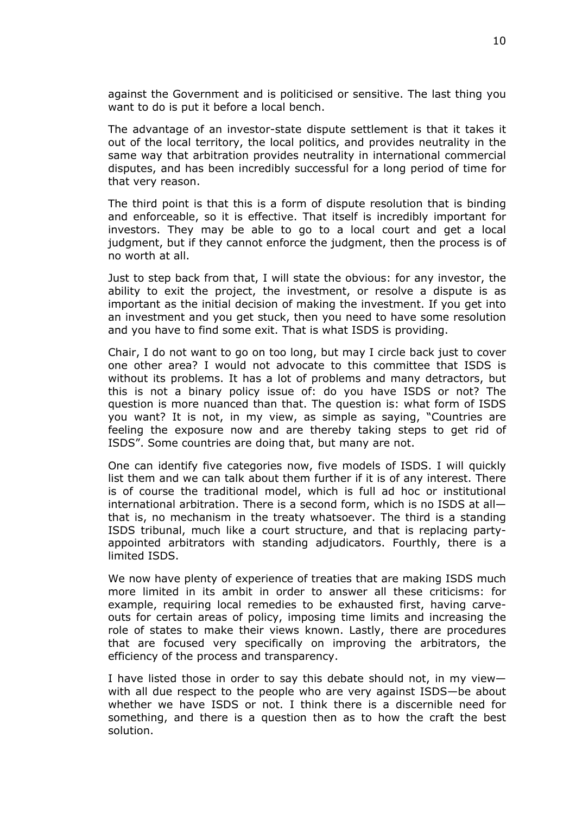against the Government and is politicised or sensitive. The last thing you want to do is put it before a local bench.

The advantage of an investor-state dispute settlement is that it takes it out of the local territory, the local politics, and provides neutrality in the same way that arbitration provides neutrality in international commercial disputes, and has been incredibly successful for a long period of time for that very reason.

The third point is that this is a form of dispute resolution that is binding and enforceable, so it is effective. That itself is incredibly important for investors. They may be able to go to a local court and get a local judgment, but if they cannot enforce the judgment, then the process is of no worth at all.

Just to step back from that, I will state the obvious: for any investor, the ability to exit the project, the investment, or resolve a dispute is as important as the initial decision of making the investment. If you get into an investment and you get stuck, then you need to have some resolution and you have to find some exit. That is what ISDS is providing.

Chair, I do not want to go on too long, but may I circle back just to cover one other area? I would not advocate to this committee that ISDS is without its problems. It has a lot of problems and many detractors, but this is not a binary policy issue of: do you have ISDS or not? The question is more nuanced than that. The question is: what form of ISDS you want? It is not, in my view, as simple as saying, "Countries are feeling the exposure now and are thereby taking steps to get rid of ISDS". Some countries are doing that, but many are not.

One can identify five categories now, five models of ISDS. I will quickly list them and we can talk about them further if it is of any interest. There is of course the traditional model, which is full ad hoc or institutional international arbitration. There is a second form, which is no ISDS at all that is, no mechanism in the treaty whatsoever. The third is a standing ISDS tribunal, much like a court structure, and that is replacing partyappointed arbitrators with standing adjudicators. Fourthly, there is a limited ISDS.

We now have plenty of experience of treaties that are making ISDS much more limited in its ambit in order to answer all these criticisms: for example, requiring local remedies to be exhausted first, having carveouts for certain areas of policy, imposing time limits and increasing the role of states to make their views known. Lastly, there are procedures that are focused very specifically on improving the arbitrators, the efficiency of the process and transparency.

I have listed those in order to say this debate should not, in my view with all due respect to the people who are very against ISDS—be about whether we have ISDS or not. I think there is a discernible need for something, and there is a question then as to how the craft the best solution.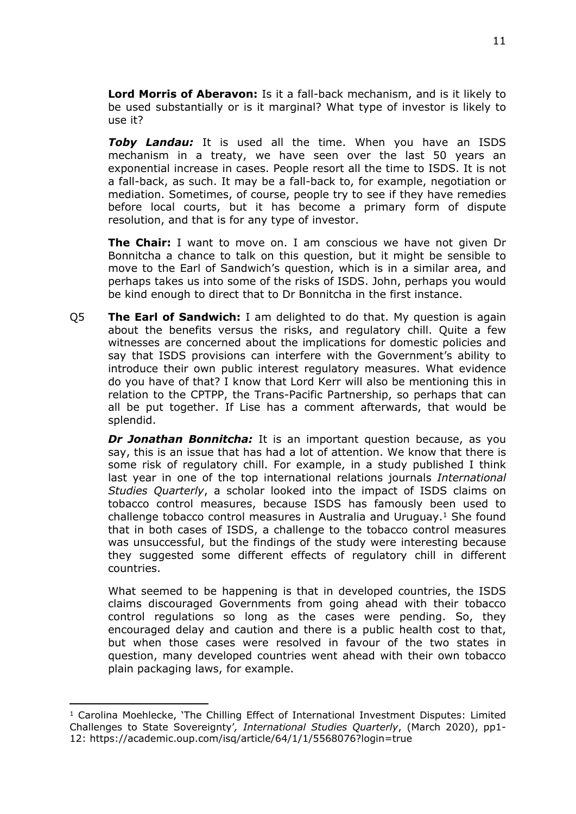**Lord Morris of Aberavon:** Is it a fall-back mechanism, and is it likely to be used substantially or is it marginal? What type of investor is likely to use it?

*Toby Landau:* It is used all the time. When you have an ISDS mechanism in a treaty, we have seen over the last 50 years an exponential increase in cases. People resort all the time to ISDS. It is not a fall-back, as such. It may be a fall-back to, for example, negotiation or mediation. Sometimes, of course, people try to see if they have remedies before local courts, but it has become a primary form of dispute resolution, and that is for any type of investor.

**The Chair:** I want to move on. I am conscious we have not given Dr Bonnitcha a chance to talk on this question, but it might be sensible to move to the Earl of Sandwich's question, which is in a similar area, and perhaps takes us into some of the risks of ISDS. John, perhaps you would be kind enough to direct that to Dr Bonnitcha in the first instance.

Q5 **The Earl of Sandwich:** I am delighted to do that. My question is again about the benefits versus the risks, and regulatory chill. Quite a few witnesses are concerned about the implications for domestic policies and say that ISDS provisions can interfere with the Government's ability to introduce their own public interest regulatory measures. What evidence do you have of that? I know that Lord Kerr will also be mentioning this in relation to the CPTPP, the Trans-Pacific Partnership, so perhaps that can all be put together. If Lise has a comment afterwards, that would be splendid.

*Dr Jonathan Bonnitcha:* It is an important question because, as you say, this is an issue that has had a lot of attention. We know that there is some risk of regulatory chill. For example, in a study published I think last year in one of the top international relations journals *International Studies Quarterly*, a scholar looked into the impact of ISDS claims on tobacco control measures, because ISDS has famously been used to challenge tobacco control measures in Australia and Uruguay.<sup>1</sup> She found that in both cases of ISDS, a challenge to the tobacco control measures was unsuccessful, but the findings of the study were interesting because they suggested some different effects of regulatory chill in different countries.

What seemed to be happening is that in developed countries, the ISDS claims discouraged Governments from going ahead with their tobacco control regulations so long as the cases were pending. So, they encouraged delay and caution and there is a public health cost to that, but when those cases were resolved in favour of the two states in question, many developed countries went ahead with their own tobacco plain packaging laws, for example.

<sup>&</sup>lt;sup>1</sup> Carolina Moehlecke, 'The Chilling Effect of International Investment Disputes: Limited Challenges to State Sovereignty'*, International Studies Quarterly*, (March 2020), pp1- 12: https://academic.oup.com/isq/article/64/1/1/5568076?login=true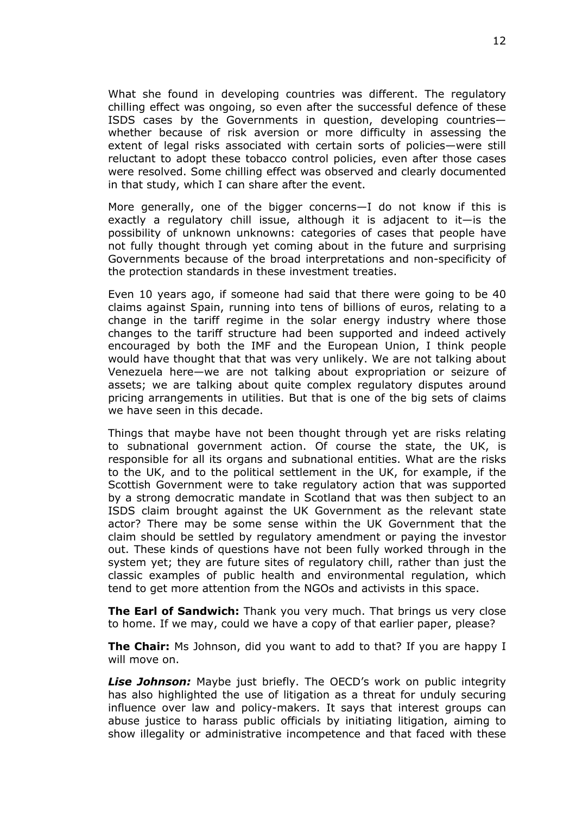What she found in developing countries was different. The regulatory chilling effect was ongoing, so even after the successful defence of these ISDS cases by the Governments in question, developing countries whether because of risk aversion or more difficulty in assessing the extent of legal risks associated with certain sorts of policies—were still reluctant to adopt these tobacco control policies, even after those cases were resolved. Some chilling effect was observed and clearly documented in that study, which I can share after the event.

More generally, one of the bigger concerns—I do not know if this is exactly a regulatory chill issue, although it is adjacent to it—is the possibility of unknown unknowns: categories of cases that people have not fully thought through yet coming about in the future and surprising Governments because of the broad interpretations and non-specificity of the protection standards in these investment treaties.

Even 10 years ago, if someone had said that there were going to be 40 claims against Spain, running into tens of billions of euros, relating to a change in the tariff regime in the solar energy industry where those changes to the tariff structure had been supported and indeed actively encouraged by both the IMF and the European Union, I think people would have thought that that was very unlikely. We are not talking about Venezuela here—we are not talking about expropriation or seizure of assets; we are talking about quite complex regulatory disputes around pricing arrangements in utilities. But that is one of the big sets of claims we have seen in this decade.

Things that maybe have not been thought through yet are risks relating to subnational government action. Of course the state, the UK, is responsible for all its organs and subnational entities. What are the risks to the UK, and to the political settlement in the UK, for example, if the Scottish Government were to take regulatory action that was supported by a strong democratic mandate in Scotland that was then subject to an ISDS claim brought against the UK Government as the relevant state actor? There may be some sense within the UK Government that the claim should be settled by regulatory amendment or paying the investor out. These kinds of questions have not been fully worked through in the system yet; they are future sites of regulatory chill, rather than just the classic examples of public health and environmental regulation, which tend to get more attention from the NGOs and activists in this space.

**The Earl of Sandwich:** Thank you very much. That brings us very close to home. If we may, could we have a copy of that earlier paper, please?

**The Chair:** Ms Johnson, did you want to add to that? If you are happy I will move on.

*Lise Johnson:* Maybe just briefly. The OECD's work on public integrity has also highlighted the use of litigation as a threat for unduly securing influence over law and policy-makers. It says that interest groups can abuse justice to harass public officials by initiating litigation, aiming to show illegality or administrative incompetence and that faced with these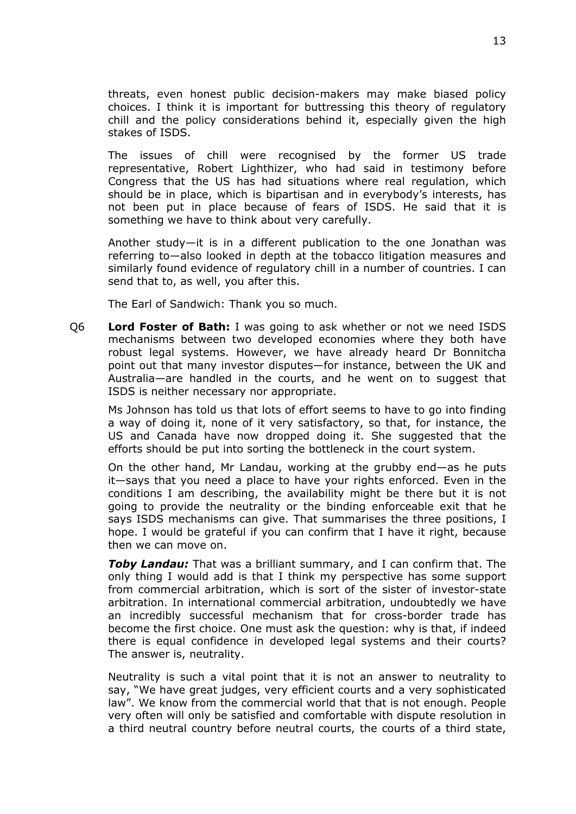threats, even honest public decision-makers may make biased policy choices. I think it is important for buttressing this theory of regulatory chill and the policy considerations behind it, especially given the high stakes of ISDS.

The issues of chill were recognised by the former US trade representative, Robert Lighthizer, who had said in testimony before Congress that the US has had situations where real regulation, which should be in place, which is bipartisan and in everybody's interests, has not been put in place because of fears of ISDS. He said that it is something we have to think about very carefully.

Another study—it is in a different publication to the one Jonathan was referring to—also looked in depth at the tobacco litigation measures and similarly found evidence of regulatory chill in a number of countries. I can send that to, as well, you after this.

The Earl of Sandwich: Thank you so much.

Q6 **Lord Foster of Bath:** I was going to ask whether or not we need ISDS mechanisms between two developed economies where they both have robust legal systems. However, we have already heard Dr Bonnitcha point out that many investor disputes—for instance, between the UK and Australia—are handled in the courts, and he went on to suggest that ISDS is neither necessary nor appropriate.

Ms Johnson has told us that lots of effort seems to have to go into finding a way of doing it, none of it very satisfactory, so that, for instance, the US and Canada have now dropped doing it. She suggested that the efforts should be put into sorting the bottleneck in the court system.

On the other hand, Mr Landau, working at the grubby end—as he puts it—says that you need a place to have your rights enforced. Even in the conditions I am describing, the availability might be there but it is not going to provide the neutrality or the binding enforceable exit that he says ISDS mechanisms can give. That summarises the three positions, I hope. I would be grateful if you can confirm that I have it right, because then we can move on.

*Toby Landau:* That was a brilliant summary, and I can confirm that. The only thing I would add is that I think my perspective has some support from commercial arbitration, which is sort of the sister of investor-state arbitration. In international commercial arbitration, undoubtedly we have an incredibly successful mechanism that for cross-border trade has become the first choice. One must ask the question: why is that, if indeed there is equal confidence in developed legal systems and their courts? The answer is, neutrality.

Neutrality is such a vital point that it is not an answer to neutrality to say, "We have great judges, very efficient courts and a very sophisticated law". We know from the commercial world that that is not enough. People very often will only be satisfied and comfortable with dispute resolution in a third neutral country before neutral courts, the courts of a third state,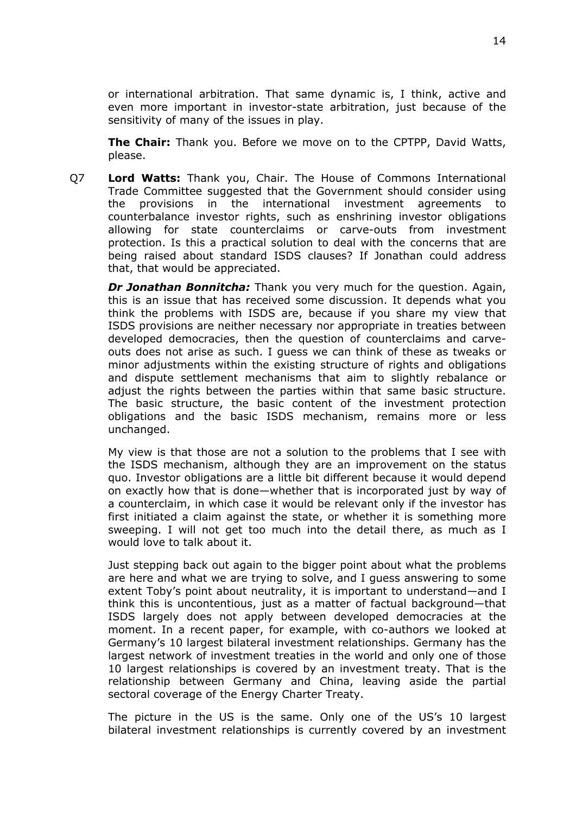or international arbitration. That same dynamic is, I think, active and even more important in investor-state arbitration, just because of the sensitivity of many of the issues in play.

**The Chair:** Thank you. Before we move on to the CPTPP, David Watts, please.

Q7 **Lord Watts:** Thank you, Chair. The House of Commons International Trade Committee suggested that the Government should consider using the provisions in the international investment agreements to counterbalance investor rights, such as enshrining investor obligations allowing for state counterclaims or carve-outs from investment protection. Is this a practical solution to deal with the concerns that are being raised about standard ISDS clauses? If Jonathan could address that, that would be appreciated.

*Dr Jonathan Bonnitcha:* Thank you very much for the question. Again, this is an issue that has received some discussion. It depends what you think the problems with ISDS are, because if you share my view that ISDS provisions are neither necessary nor appropriate in treaties between developed democracies, then the question of counterclaims and carveouts does not arise as such. I guess we can think of these as tweaks or minor adjustments within the existing structure of rights and obligations and dispute settlement mechanisms that aim to slightly rebalance or adjust the rights between the parties within that same basic structure. The basic structure, the basic content of the investment protection obligations and the basic ISDS mechanism, remains more or less unchanged.

My view is that those are not a solution to the problems that I see with the ISDS mechanism, although they are an improvement on the status quo. Investor obligations are a little bit different because it would depend on exactly how that is done—whether that is incorporated just by way of a counterclaim, in which case it would be relevant only if the investor has first initiated a claim against the state, or whether it is something more sweeping. I will not get too much into the detail there, as much as I would love to talk about it.

Just stepping back out again to the bigger point about what the problems are here and what we are trying to solve, and I guess answering to some extent Toby's point about neutrality, it is important to understand—and I think this is uncontentious, just as a matter of factual background—that ISDS largely does not apply between developed democracies at the moment. In a recent paper, for example, with co-authors we looked at Germany's 10 largest bilateral investment relationships. Germany has the largest network of investment treaties in the world and only one of those 10 largest relationships is covered by an investment treaty. That is the relationship between Germany and China, leaving aside the partial sectoral coverage of the Energy Charter Treaty.

The picture in the US is the same. Only one of the US's 10 largest bilateral investment relationships is currently covered by an investment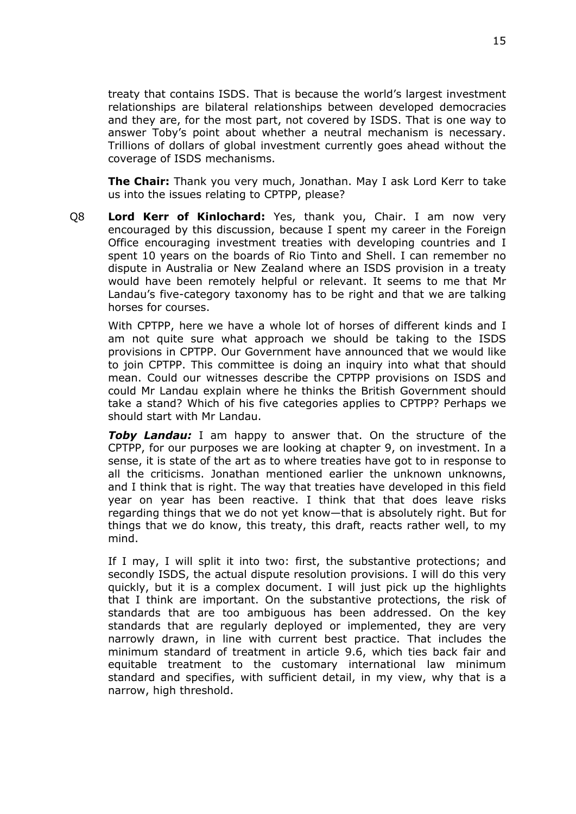treaty that contains ISDS. That is because the world's largest investment relationships are bilateral relationships between developed democracies and they are, for the most part, not covered by ISDS. That is one way to answer Toby's point about whether a neutral mechanism is necessary. Trillions of dollars of global investment currently goes ahead without the coverage of ISDS mechanisms.

**The Chair:** Thank you very much, Jonathan. May I ask Lord Kerr to take us into the issues relating to CPTPP, please?

Q8 **Lord Kerr of Kinlochard:** Yes, thank you, Chair. I am now very encouraged by this discussion, because I spent my career in the Foreign Office encouraging investment treaties with developing countries and I spent 10 years on the boards of Rio Tinto and Shell. I can remember no dispute in Australia or New Zealand where an ISDS provision in a treaty would have been remotely helpful or relevant. It seems to me that Mr Landau's five-category taxonomy has to be right and that we are talking horses for courses.

With CPTPP, here we have a whole lot of horses of different kinds and I am not quite sure what approach we should be taking to the ISDS provisions in CPTPP. Our Government have announced that we would like to join CPTPP. This committee is doing an inquiry into what that should mean. Could our witnesses describe the CPTPP provisions on ISDS and could Mr Landau explain where he thinks the British Government should take a stand? Which of his five categories applies to CPTPP? Perhaps we should start with Mr Landau.

*Toby Landau:* I am happy to answer that. On the structure of the CPTPP, for our purposes we are looking at chapter 9, on investment. In a sense, it is state of the art as to where treaties have got to in response to all the criticisms. Jonathan mentioned earlier the unknown unknowns, and I think that is right. The way that treaties have developed in this field year on year has been reactive. I think that that does leave risks regarding things that we do not yet know—that is absolutely right. But for things that we do know, this treaty, this draft, reacts rather well, to my mind.

If I may, I will split it into two: first, the substantive protections; and secondly ISDS, the actual dispute resolution provisions. I will do this very quickly, but it is a complex document. I will just pick up the highlights that I think are important. On the substantive protections, the risk of standards that are too ambiguous has been addressed. On the key standards that are regularly deployed or implemented, they are very narrowly drawn, in line with current best practice. That includes the minimum standard of treatment in article 9.6, which ties back fair and equitable treatment to the customary international law minimum standard and specifies, with sufficient detail, in my view, why that is a narrow, high threshold.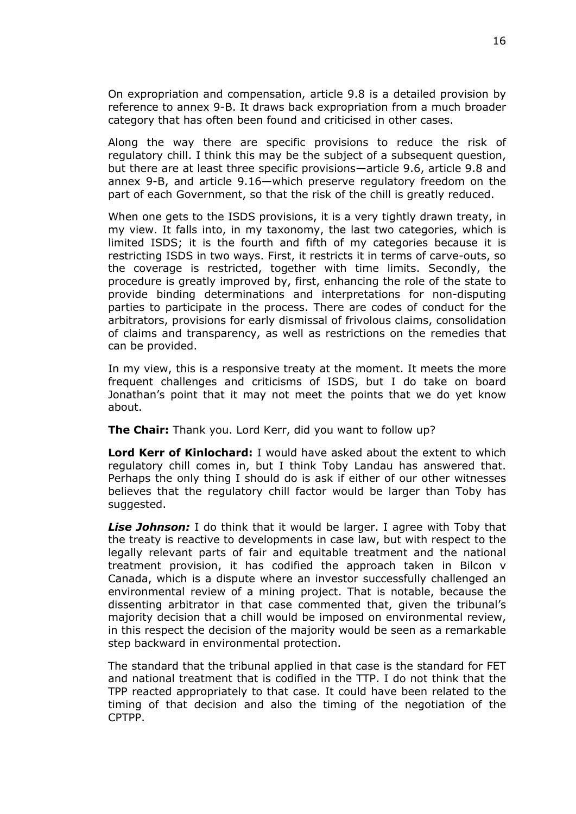On expropriation and compensation, article 9.8 is a detailed provision by reference to annex 9-B. It draws back expropriation from a much broader category that has often been found and criticised in other cases.

Along the way there are specific provisions to reduce the risk of regulatory chill. I think this may be the subject of a subsequent question, but there are at least three specific provisions—article 9.6, article 9.8 and annex 9-B, and article 9.16—which preserve regulatory freedom on the part of each Government, so that the risk of the chill is greatly reduced.

When one gets to the ISDS provisions, it is a very tightly drawn treaty, in my view. It falls into, in my taxonomy, the last two categories, which is limited ISDS; it is the fourth and fifth of my categories because it is restricting ISDS in two ways. First, it restricts it in terms of carve-outs, so the coverage is restricted, together with time limits. Secondly, the procedure is greatly improved by, first, enhancing the role of the state to provide binding determinations and interpretations for non-disputing parties to participate in the process. There are codes of conduct for the arbitrators, provisions for early dismissal of frivolous claims, consolidation of claims and transparency, as well as restrictions on the remedies that can be provided.

In my view, this is a responsive treaty at the moment. It meets the more frequent challenges and criticisms of ISDS, but I do take on board Jonathan's point that it may not meet the points that we do yet know about.

**The Chair:** Thank you. Lord Kerr, did you want to follow up?

**Lord Kerr of Kinlochard:** I would have asked about the extent to which regulatory chill comes in, but I think Toby Landau has answered that. Perhaps the only thing I should do is ask if either of our other witnesses believes that the regulatory chill factor would be larger than Toby has suggested.

*Lise Johnson:* I do think that it would be larger. I agree with Toby that the treaty is reactive to developments in case law, but with respect to the legally relevant parts of fair and equitable treatment and the national treatment provision, it has codified the approach taken in Bilcon v Canada, which is a dispute where an investor successfully challenged an environmental review of a mining project. That is notable, because the dissenting arbitrator in that case commented that, given the tribunal's majority decision that a chill would be imposed on environmental review, in this respect the decision of the majority would be seen as a remarkable step backward in environmental protection.

The standard that the tribunal applied in that case is the standard for FET and national treatment that is codified in the TTP. I do not think that the TPP reacted appropriately to that case. It could have been related to the timing of that decision and also the timing of the negotiation of the CPTPP.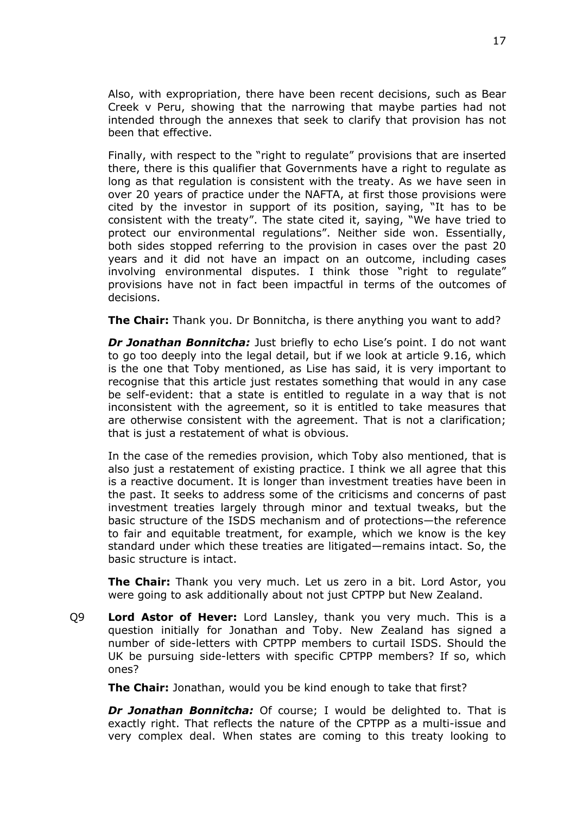Also, with expropriation, there have been recent decisions, such as Bear Creek v Peru, showing that the narrowing that maybe parties had not intended through the annexes that seek to clarify that provision has not been that effective.

Finally, with respect to the "right to regulate" provisions that are inserted there, there is this qualifier that Governments have a right to regulate as long as that regulation is consistent with the treaty. As we have seen in over 20 years of practice under the NAFTA, at first those provisions were cited by the investor in support of its position, saying, "It has to be consistent with the treaty". The state cited it, saying, "We have tried to protect our environmental regulations". Neither side won. Essentially, both sides stopped referring to the provision in cases over the past 20 years and it did not have an impact on an outcome, including cases involving environmental disputes. I think those "right to regulate" provisions have not in fact been impactful in terms of the outcomes of decisions.

**The Chair:** Thank you. Dr Bonnitcha, is there anything you want to add?

*Dr Jonathan Bonnitcha:* Just briefly to echo Lise's point. I do not want to go too deeply into the legal detail, but if we look at article 9.16, which is the one that Toby mentioned, as Lise has said, it is very important to recognise that this article just restates something that would in any case be self-evident: that a state is entitled to regulate in a way that is not inconsistent with the agreement, so it is entitled to take measures that are otherwise consistent with the agreement. That is not a clarification; that is just a restatement of what is obvious.

In the case of the remedies provision, which Toby also mentioned, that is also just a restatement of existing practice. I think we all agree that this is a reactive document. It is longer than investment treaties have been in the past. It seeks to address some of the criticisms and concerns of past investment treaties largely through minor and textual tweaks, but the basic structure of the ISDS mechanism and of protections—the reference to fair and equitable treatment, for example, which we know is the key standard under which these treaties are litigated—remains intact. So, the basic structure is intact.

**The Chair:** Thank you very much. Let us zero in a bit. Lord Astor, you were going to ask additionally about not just CPTPP but New Zealand.

Q9 **Lord Astor of Hever:** Lord Lansley, thank you very much. This is a question initially for Jonathan and Toby. New Zealand has signed a number of side-letters with CPTPP members to curtail ISDS. Should the UK be pursuing side-letters with specific CPTPP members? If so, which ones?

**The Chair:** Jonathan, would you be kind enough to take that first?

*Dr Jonathan Bonnitcha:* Of course; I would be delighted to. That is exactly right. That reflects the nature of the CPTPP as a multi-issue and very complex deal. When states are coming to this treaty looking to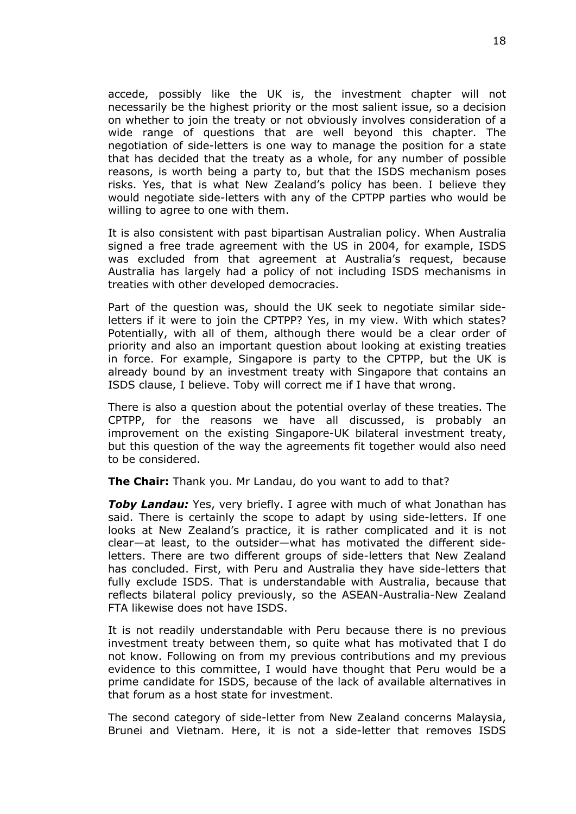accede, possibly like the UK is, the investment chapter will not necessarily be the highest priority or the most salient issue, so a decision on whether to join the treaty or not obviously involves consideration of a wide range of questions that are well beyond this chapter. The negotiation of side-letters is one way to manage the position for a state that has decided that the treaty as a whole, for any number of possible reasons, is worth being a party to, but that the ISDS mechanism poses risks. Yes, that is what New Zealand's policy has been. I believe they would negotiate side-letters with any of the CPTPP parties who would be willing to agree to one with them.

It is also consistent with past bipartisan Australian policy. When Australia signed a free trade agreement with the US in 2004, for example, ISDS was excluded from that agreement at Australia's request, because Australia has largely had a policy of not including ISDS mechanisms in treaties with other developed democracies.

Part of the question was, should the UK seek to negotiate similar sideletters if it were to join the CPTPP? Yes, in my view. With which states? Potentially, with all of them, although there would be a clear order of priority and also an important question about looking at existing treaties in force. For example, Singapore is party to the CPTPP, but the UK is already bound by an investment treaty with Singapore that contains an ISDS clause, I believe. Toby will correct me if I have that wrong.

There is also a question about the potential overlay of these treaties. The CPTPP, for the reasons we have all discussed, is probably an improvement on the existing Singapore-UK bilateral investment treaty, but this question of the way the agreements fit together would also need to be considered.

**The Chair:** Thank you. Mr Landau, do you want to add to that?

*Toby Landau:* Yes, very briefly. I agree with much of what Jonathan has said. There is certainly the scope to adapt by using side-letters. If one looks at New Zealand's practice, it is rather complicated and it is not clear—at least, to the outsider—what has motivated the different sideletters. There are two different groups of side-letters that New Zealand has concluded. First, with Peru and Australia they have side-letters that fully exclude ISDS. That is understandable with Australia, because that reflects bilateral policy previously, so the ASEAN-Australia-New Zealand FTA likewise does not have ISDS.

It is not readily understandable with Peru because there is no previous investment treaty between them, so quite what has motivated that I do not know. Following on from my previous contributions and my previous evidence to this committee, I would have thought that Peru would be a prime candidate for ISDS, because of the lack of available alternatives in that forum as a host state for investment.

The second category of side-letter from New Zealand concerns Malaysia, Brunei and Vietnam. Here, it is not a side-letter that removes ISDS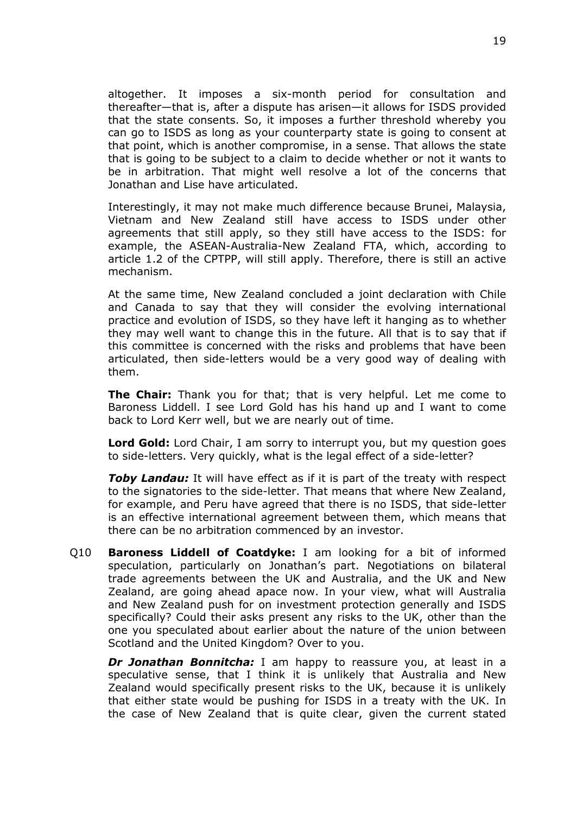altogether. It imposes a six-month period for consultation and thereafter—that is, after a dispute has arisen—it allows for ISDS provided that the state consents. So, it imposes a further threshold whereby you can go to ISDS as long as your counterparty state is going to consent at that point, which is another compromise, in a sense. That allows the state that is going to be subject to a claim to decide whether or not it wants to be in arbitration. That might well resolve a lot of the concerns that Jonathan and Lise have articulated.

Interestingly, it may not make much difference because Brunei, Malaysia, Vietnam and New Zealand still have access to ISDS under other agreements that still apply, so they still have access to the ISDS: for example, the ASEAN-Australia-New Zealand FTA, which, according to article 1.2 of the CPTPP, will still apply. Therefore, there is still an active mechanism.

At the same time, New Zealand concluded a joint declaration with Chile and Canada to say that they will consider the evolving international practice and evolution of ISDS, so they have left it hanging as to whether they may well want to change this in the future. All that is to say that if this committee is concerned with the risks and problems that have been articulated, then side-letters would be a very good way of dealing with them.

**The Chair:** Thank you for that; that is very helpful. Let me come to Baroness Liddell. I see Lord Gold has his hand up and I want to come back to Lord Kerr well, but we are nearly out of time.

**Lord Gold:** Lord Chair, I am sorry to interrupt you, but my question goes to side-letters. Very quickly, what is the legal effect of a side-letter?

*Toby Landau:* It will have effect as if it is part of the treaty with respect to the signatories to the side-letter. That means that where New Zealand, for example, and Peru have agreed that there is no ISDS, that side-letter is an effective international agreement between them, which means that there can be no arbitration commenced by an investor.

Q10 **Baroness Liddell of Coatdyke:** I am looking for a bit of informed speculation, particularly on Jonathan's part. Negotiations on bilateral trade agreements between the UK and Australia, and the UK and New Zealand, are going ahead apace now. In your view, what will Australia and New Zealand push for on investment protection generally and ISDS specifically? Could their asks present any risks to the UK, other than the one you speculated about earlier about the nature of the union between Scotland and the United Kingdom? Over to you.

*Dr Jonathan Bonnitcha:* I am happy to reassure you, at least in a speculative sense, that I think it is unlikely that Australia and New Zealand would specifically present risks to the UK, because it is unlikely that either state would be pushing for ISDS in a treaty with the UK. In the case of New Zealand that is quite clear, given the current stated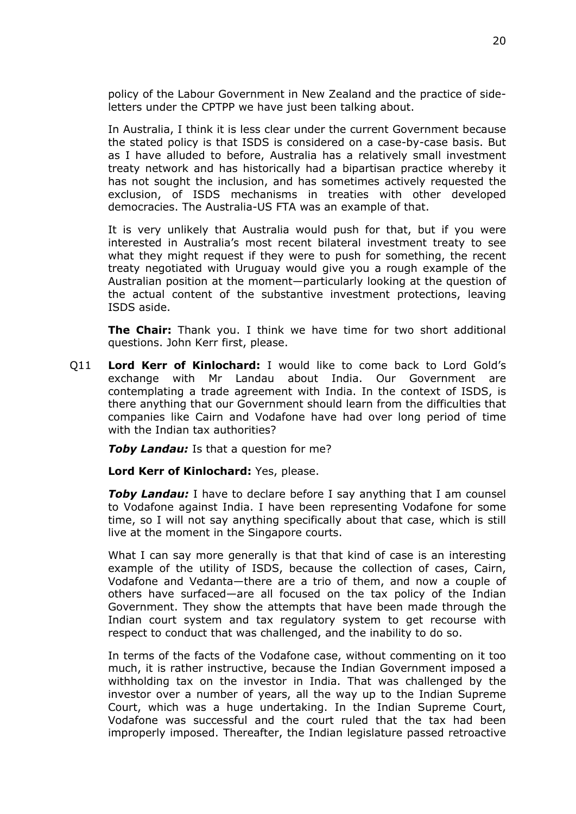policy of the Labour Government in New Zealand and the practice of sideletters under the CPTPP we have just been talking about.

In Australia, I think it is less clear under the current Government because the stated policy is that ISDS is considered on a case-by-case basis. But as I have alluded to before, Australia has a relatively small investment treaty network and has historically had a bipartisan practice whereby it has not sought the inclusion, and has sometimes actively requested the exclusion, of ISDS mechanisms in treaties with other developed democracies. The Australia-US FTA was an example of that.

It is very unlikely that Australia would push for that, but if you were interested in Australia's most recent bilateral investment treaty to see what they might request if they were to push for something, the recent treaty negotiated with Uruguay would give you a rough example of the Australian position at the moment—particularly looking at the question of the actual content of the substantive investment protections, leaving ISDS aside.

**The Chair:** Thank you. I think we have time for two short additional questions. John Kerr first, please.

Q11 **Lord Kerr of Kinlochard:** I would like to come back to Lord Gold's exchange with Mr Landau about India. Our Government are contemplating a trade agreement with India. In the context of ISDS, is there anything that our Government should learn from the difficulties that companies like Cairn and Vodafone have had over long period of time with the Indian tax authorities?

*Toby Landau:* Is that a question for me?

**Lord Kerr of Kinlochard:** Yes, please.

**Toby Landau:** I have to declare before I say anything that I am counsel to Vodafone against India. I have been representing Vodafone for some time, so I will not say anything specifically about that case, which is still live at the moment in the Singapore courts.

What I can say more generally is that that kind of case is an interesting example of the utility of ISDS, because the collection of cases, Cairn, Vodafone and Vedanta—there are a trio of them, and now a couple of others have surfaced—are all focused on the tax policy of the Indian Government. They show the attempts that have been made through the Indian court system and tax regulatory system to get recourse with respect to conduct that was challenged, and the inability to do so.

In terms of the facts of the Vodafone case, without commenting on it too much, it is rather instructive, because the Indian Government imposed a withholding tax on the investor in India. That was challenged by the investor over a number of years, all the way up to the Indian Supreme Court, which was a huge undertaking. In the Indian Supreme Court, Vodafone was successful and the court ruled that the tax had been improperly imposed. Thereafter, the Indian legislature passed retroactive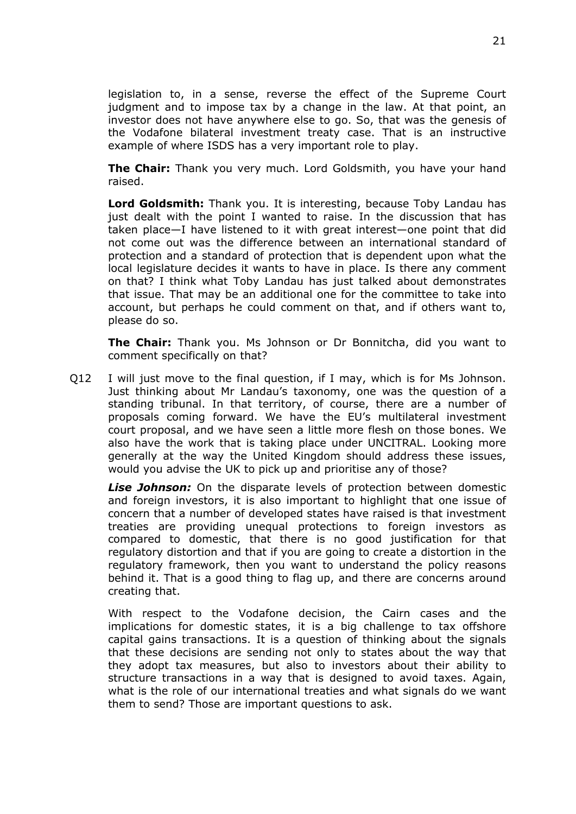legislation to, in a sense, reverse the effect of the Supreme Court judgment and to impose tax by a change in the law. At that point, an investor does not have anywhere else to go. So, that was the genesis of the Vodafone bilateral investment treaty case. That is an instructive example of where ISDS has a very important role to play.

**The Chair:** Thank you very much. Lord Goldsmith, you have your hand raised.

**Lord Goldsmith:** Thank you. It is interesting, because Toby Landau has just dealt with the point I wanted to raise. In the discussion that has taken place—I have listened to it with great interest—one point that did not come out was the difference between an international standard of protection and a standard of protection that is dependent upon what the local legislature decides it wants to have in place. Is there any comment on that? I think what Toby Landau has just talked about demonstrates that issue. That may be an additional one for the committee to take into account, but perhaps he could comment on that, and if others want to, please do so.

**The Chair:** Thank you. Ms Johnson or Dr Bonnitcha, did you want to comment specifically on that?

Q12 I will just move to the final question, if I may, which is for Ms Johnson. Just thinking about Mr Landau's taxonomy, one was the question of a standing tribunal. In that territory, of course, there are a number of proposals coming forward. We have the EU's multilateral investment court proposal, and we have seen a little more flesh on those bones. We also have the work that is taking place under UNCITRAL. Looking more generally at the way the United Kingdom should address these issues, would you advise the UK to pick up and prioritise any of those?

*Lise Johnson:* On the disparate levels of protection between domestic and foreign investors, it is also important to highlight that one issue of concern that a number of developed states have raised is that investment treaties are providing unequal protections to foreign investors as compared to domestic, that there is no good justification for that regulatory distortion and that if you are going to create a distortion in the regulatory framework, then you want to understand the policy reasons behind it. That is a good thing to flag up, and there are concerns around creating that.

With respect to the Vodafone decision, the Cairn cases and the implications for domestic states, it is a big challenge to tax offshore capital gains transactions. It is a question of thinking about the signals that these decisions are sending not only to states about the way that they adopt tax measures, but also to investors about their ability to structure transactions in a way that is designed to avoid taxes. Again, what is the role of our international treaties and what signals do we want them to send? Those are important questions to ask.